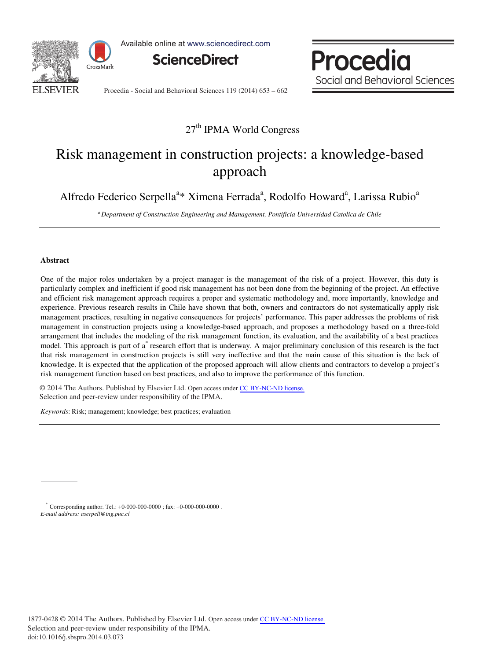

Available online at www.sciencedirect.com



Procedia Social and Behavioral Sciences

Procedia - Social and Behavioral Sciences 119 (2014) 653 - 662

# 27<sup>th</sup> IPMA World Congress

# Risk management in construction projects: a knowledge-based approach

Alfredo Federico Serpella<sup>a</sup>\* Ximena Ferrada<sup>a</sup>, Rodolfo Howard<sup>a</sup>, Larissa Rubio<sup>a</sup>

*<sup>a</sup> Department of Construction Engineering and Management, Pontificia Universidad Catolica de Chile* 

# **Abstract**

One of the major roles undertaken by a project manager is the management of the risk of a project. However, this duty is particularly complex and inefficient if good risk management has not been done from the beginning of the project. An effective and efficient risk management approach requires a proper and systematic methodology and, more importantly, knowledge and experience. Previous research results in Chile have shown that both, owners and contractors do not systematically apply risk management practices, resulting in negative consequences for projects' performance. This paper addresses the problems of risk management in construction projects using a knowledge-based approach, and proposes a methodology based on a three-fold arrangement that includes the modeling of the risk management function, its evaluation, and the availability of a best practices model. This approach is part of a<sup>\*</sup> research effort that is underway. A major preliminary conclusion of this research is the fact that risk management in construction projects is still very ineffective and that the main cause of this situation is the lack of knowledge. It is expected that the application of the proposed approach will allow clients and contractors to develop a project's risk management function based on best practices, and also to improve the performance of this function.

© 2014 The Authors. Published by Elsevier Ltd. © 2014 The Authors. Published by Elsevier Ltd. Open access under [CC BY-NC-ND license.](http://creativecommons.org/licenses/by-nc-nd/3.0/) Selection and peer-review under responsibility of the IPMA. Selection and peer-review under responsibility of the IPMA.

*Keywords*: Risk; management; knowledge; best practices; evaluation

<sup>\*</sup> Corresponding author. Tel.: +0-000-000-0000 ; fax: +0-000-000-0000 . *E-mail address: aserpell@ing.puc.cl*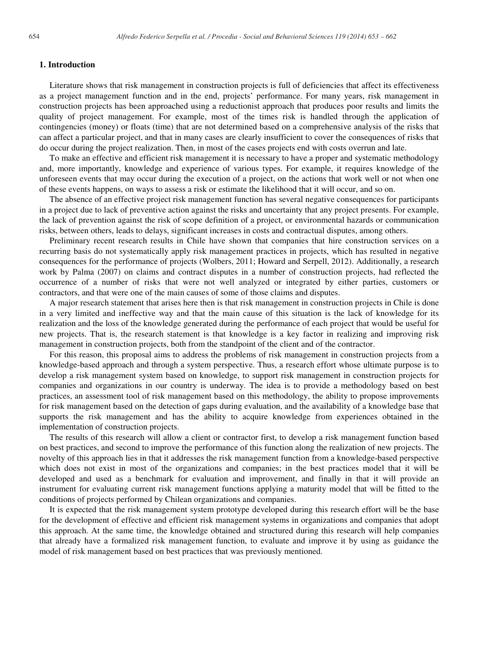# **1. Introduction**

Literature shows that risk management in construction projects is full of deficiencies that affect its effectiveness as a project management function and in the end, projects' performance. For many years, risk management in construction projects has been approached using a reductionist approach that produces poor results and limits the quality of project management. For example, most of the times risk is handled through the application of contingencies (money) or floats (time) that are not determined based on a comprehensive analysis of the risks that can affect a particular project, and that in many cases are clearly insufficient to cover the consequences of risks that do occur during the project realization. Then, in most of the cases projects end with costs overrun and late.

To make an effective and efficient risk management it is necessary to have a proper and systematic methodology and, more importantly, knowledge and experience of various types. For example, it requires knowledge of the unforeseen events that may occur during the execution of a project, on the actions that work well or not when one of these events happens, on ways to assess a risk or estimate the likelihood that it will occur, and so on.

The absence of an effective project risk management function has several negative consequences for participants in a project due to lack of preventive action against the risks and uncertainty that any project presents. For example, the lack of prevention against the risk of scope definition of a project, or environmental hazards or communication risks, between others, leads to delays, significant increases in costs and contractual disputes, among others.

Preliminary recent research results in Chile have shown that companies that hire construction services on a recurring basis do not systematically apply risk management practices in projects, which has resulted in negative consequences for the performance of projects (Wolbers, 2011; Howard and Serpell, 2012). Additionally, a research work by Palma (2007) on claims and contract disputes in a number of construction projects, had reflected the occurrence of a number of risks that were not well analyzed or integrated by either parties, customers or contractors, and that were one of the main causes of some of those claims and disputes.

A major research statement that arises here then is that risk management in construction projects in Chile is done in a very limited and ineffective way and that the main cause of this situation is the lack of knowledge for its realization and the loss of the knowledge generated during the performance of each project that would be useful for new projects. That is, the research statement is that knowledge is a key factor in realizing and improving risk management in construction projects, both from the standpoint of the client and of the contractor.

For this reason, this proposal aims to address the problems of risk management in construction projects from a knowledge-based approach and through a system perspective. Thus, a research effort whose ultimate purpose is to develop a risk management system based on knowledge, to support risk management in construction projects for companies and organizations in our country is underway. The idea is to provide a methodology based on best practices, an assessment tool of risk management based on this methodology, the ability to propose improvements for risk management based on the detection of gaps during evaluation, and the availability of a knowledge base that supports the risk management and has the ability to acquire knowledge from experiences obtained in the implementation of construction projects.

The results of this research will allow a client or contractor first, to develop a risk management function based on best practices, and second to improve the performance of this function along the realization of new projects. The novelty of this approach lies in that it addresses the risk management function from a knowledge-based perspective which does not exist in most of the organizations and companies; in the best practices model that it will be developed and used as a benchmark for evaluation and improvement, and finally in that it will provide an instrument for evaluating current risk management functions applying a maturity model that will be fitted to the conditions of projects performed by Chilean organizations and companies.

It is expected that the risk management system prototype developed during this research effort will be the base for the development of effective and efficient risk management systems in organizations and companies that adopt this approach. At the same time, the knowledge obtained and structured during this research will help companies that already have a formalized risk management function, to evaluate and improve it by using as guidance the model of risk management based on best practices that was previously mentioned.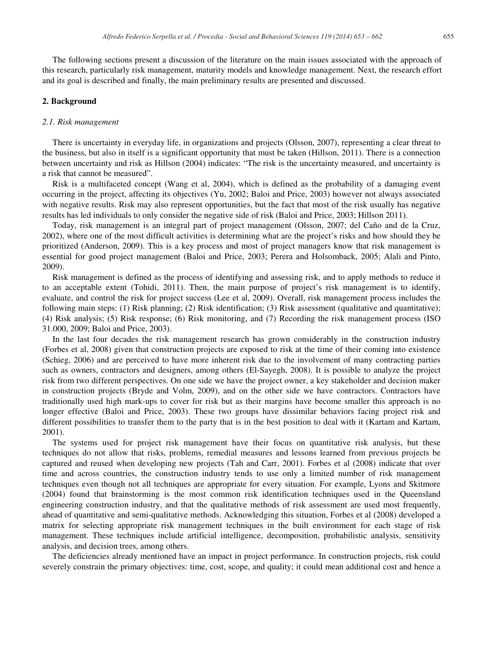The following sections present a discussion of the literature on the main issues associated with the approach of this research, particularly risk management, maturity models and knowledge management. Next, the research effort and its goal is described and finally, the main preliminary results are presented and discussed.

# **2. Background**

#### *2.1. Risk management*

There is uncertainty in everyday life, in organizations and projects (Olsson, 2007), representing a clear threat to the business, but also in itself is a significant opportunity that must be taken (Hillson, 2011). There is a connection between uncertainty and risk as Hillson (2004) indicates: "The risk is the uncertainty measured, and uncertainty is a risk that cannot be measured".

Risk is a multifaceted concept (Wang et al, 2004), which is defined as the probability of a damaging event occurring in the project, affecting its objectives (Yu, 2002; Baloi and Price, 2003) however not always associated with negative results. Risk may also represent opportunities, but the fact that most of the risk usually has negative results has led individuals to only consider the negative side of risk (Baloi and Price, 2003; Hillson 2011).

Today, risk management is an integral part of project management (Olsson, 2007; del Caño and de la Cruz, 2002), where one of the most difficult activities is determining what are the project's risks and how should they be prioritized (Anderson, 2009). This is a key process and most of project managers know that risk management is essential for good project management (Baloi and Price, 2003; Perera and Holsomback, 2005; Alali and Pinto, 2009).

Risk management is defined as the process of identifying and assessing risk, and to apply methods to reduce it to an acceptable extent (Tohidi, 2011). Then, the main purpose of project's risk management is to identify, evaluate, and control the risk for project success (Lee et al, 2009). Overall, risk management process includes the following main steps: (1) Risk planning; (2) Risk identification; (3) Risk assessment (qualitative and quantitative); (4) Risk analysis; (5) Risk response; (6) Risk monitoring, and (7) Recording the risk management process (ISO 31.000, 2009; Baloi and Price, 2003).

In the last four decades the risk management research has grown considerably in the construction industry (Forbes et al, 2008) given that construction projects are exposed to risk at the time of their coming into existence (Schieg, 2006) and are perceived to have more inherent risk due to the involvement of many contracting parties such as owners, contractors and designers, among others (El-Sayegh, 2008). It is possible to analyze the project risk from two different perspectives. On one side we have the project owner, a key stakeholder and decision maker in construction projects (Bryde and Volm, 2009), and on the other side we have contractors. Contractors have traditionally used high mark-ups to cover for risk but as their margins have become smaller this approach is no longer effective (Baloi and Price, 2003). These two groups have dissimilar behaviors facing project risk and different possibilities to transfer them to the party that is in the best position to deal with it (Kartam and Kartam, 2001).

The systems used for project risk management have their focus on quantitative risk analysis, but these techniques do not allow that risks, problems, remedial measures and lessons learned from previous projects be captured and reused when developing new projects (Tah and Carr, 2001). Forbes et al (2008) indicate that over time and across countries, the construction industry tends to use only a limited number of risk management techniques even though not all techniques are appropriate for every situation. For example, Lyons and Skitmore (2004) found that brainstorming is the most common risk identification techniques used in the Queensland engineering construction industry, and that the qualitative methods of risk assessment are used most frequently, ahead of quantitative and semi-qualitative methods. Acknowledging this situation, Forbes et al (2008) developed a matrix for selecting appropriate risk management techniques in the built environment for each stage of risk management. These techniques include artificial intelligence, decomposition, probabilistic analysis, sensitivity analysis, and decision trees, among others.

The deficiencies already mentioned have an impact in project performance. In construction projects, risk could severely constrain the primary objectives: time, cost, scope, and quality; it could mean additional cost and hence a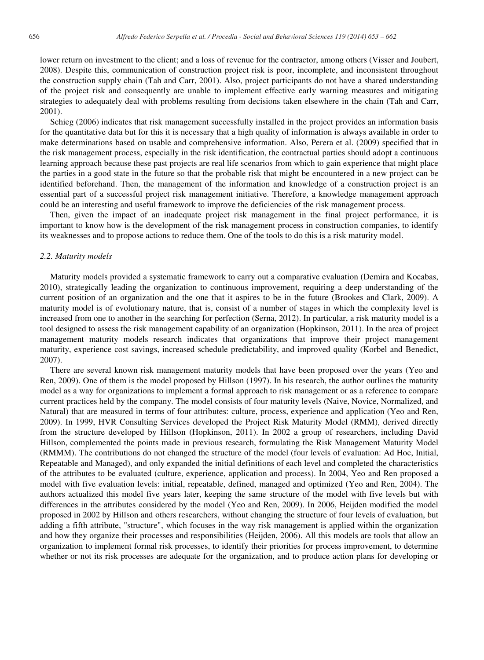lower return on investment to the client; and a loss of revenue for the contractor, among others (Visser and Joubert, 2008). Despite this, communication of construction project risk is poor, incomplete, and inconsistent throughout the construction supply chain (Tah and Carr, 2001). Also, project participants do not have a shared understanding of the project risk and consequently are unable to implement effective early warning measures and mitigating strategies to adequately deal with problems resulting from decisions taken elsewhere in the chain (Tah and Carr, 2001).

Schieg (2006) indicates that risk management successfully installed in the project provides an information basis for the quantitative data but for this it is necessary that a high quality of information is always available in order to make determinations based on usable and comprehensive information. Also, Perera et al. (2009) specified that in the risk management process, especially in the risk identification, the contractual parties should adopt a continuous learning approach because these past projects are real life scenarios from which to gain experience that might place the parties in a good state in the future so that the probable risk that might be encountered in a new project can be identified beforehand. Then, the management of the information and knowledge of a construction project is an essential part of a successful project risk management initiative. Therefore, a knowledge management approach could be an interesting and useful framework to improve the deficiencies of the risk management process.

Then, given the impact of an inadequate project risk management in the final project performance, it is important to know how is the development of the risk management process in construction companies, to identify its weaknesses and to propose actions to reduce them. One of the tools to do this is a risk maturity model.

#### *2.2. Maturity models*

Maturity models provided a systematic framework to carry out a comparative evaluation (Demira and Kocabas, 2010), strategically leading the organization to continuous improvement, requiring a deep understanding of the current position of an organization and the one that it aspires to be in the future (Brookes and Clark, 2009). A maturity model is of evolutionary nature, that is, consist of a number of stages in which the complexity level is increased from one to another in the searching for perfection (Serna, 2012). In particular, a risk maturity model is a tool designed to assess the risk management capability of an organization (Hopkinson, 2011). In the area of project management maturity models research indicates that organizations that improve their project management maturity, experience cost savings, increased schedule predictability, and improved quality (Korbel and Benedict, 2007).

There are several known risk management maturity models that have been proposed over the years (Yeo and Ren, 2009). One of them is the model proposed by Hillson (1997). In his research, the author outlines the maturity model as a way for organizations to implement a formal approach to risk management or as a reference to compare current practices held by the company. The model consists of four maturity levels (Naive, Novice, Normalized, and Natural) that are measured in terms of four attributes: culture, process, experience and application (Yeo and Ren, 2009). In 1999, HVR Consulting Services developed the Project Risk Maturity Model (RMM), derived directly from the structure developed by Hillson (Hopkinson, 2011). In 2002 a group of researchers, including David Hillson, complemented the points made in previous research, formulating the Risk Management Maturity Model (RMMM). The contributions do not changed the structure of the model (four levels of evaluation: Ad Hoc, Initial, Repeatable and Managed), and only expanded the initial definitions of each level and completed the characteristics of the attributes to be evaluated (culture, experience, application and process). In 2004, Yeo and Ren proposed a model with five evaluation levels: initial, repeatable, defined, managed and optimized (Yeo and Ren, 2004). The authors actualized this model five years later, keeping the same structure of the model with five levels but with differences in the attributes considered by the model (Yeo and Ren, 2009). In 2006, Heijden modified the model proposed in 2002 by Hillson and others researchers, without changing the structure of four levels of evaluation, but adding a fifth attribute, "structure", which focuses in the way risk management is applied within the organization and how they organize their processes and responsibilities (Heijden, 2006). All this models are tools that allow an organization to implement formal risk processes, to identify their priorities for process improvement, to determine whether or not its risk processes are adequate for the organization, and to produce action plans for developing or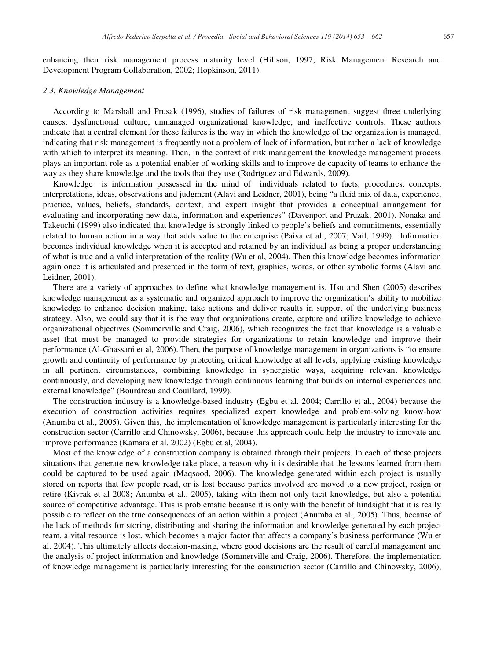enhancing their risk management process maturity level (Hillson, 1997; Risk Management Research and Development Program Collaboration, 2002; Hopkinson, 2011).

#### *2.3. Knowledge Management*

According to Marshall and Prusak (1996), studies of failures of risk management suggest three underlying causes: dysfunctional culture, unmanaged organizational knowledge, and ineffective controls. These authors indicate that a central element for these failures is the way in which the knowledge of the organization is managed, indicating that risk management is frequently not a problem of lack of information, but rather a lack of knowledge with which to interpret its meaning. Then, in the context of risk management the knowledge management process plays an important role as a potential enabler of working skills and to improve de capacity of teams to enhance the way as they share knowledge and the tools that they use (Rodríguez and Edwards, 2009).

Knowledge is information possessed in the mind of individuals related to facts, procedures, concepts, interpretations, ideas, observations and judgment (Alavi and Leidner, 2001), being "a fluid mix of data, experience, practice, values, beliefs, standards, context, and expert insight that provides a conceptual arrangement for evaluating and incorporating new data, information and experiences" (Davenport and Pruzak, 2001). Nonaka and Takeuchi (1999) also indicated that knowledge is strongly linked to people's beliefs and commitments, essentially related to human action in a way that adds value to the enterprise (Paiva et al., 2007; Vail, 1999). Information becomes individual knowledge when it is accepted and retained by an individual as being a proper understanding of what is true and a valid interpretation of the reality (Wu et al, 2004). Then this knowledge becomes information again once it is articulated and presented in the form of text, graphics, words, or other symbolic forms (Alavi and Leidner, 2001).

There are a variety of approaches to define what knowledge management is. Hsu and Shen (2005) describes knowledge management as a systematic and organized approach to improve the organization's ability to mobilize knowledge to enhance decision making, take actions and deliver results in support of the underlying business strategy. Also, we could say that it is the way that organizations create, capture and utilize knowledge to achieve organizational objectives (Sommerville and Craig, 2006), which recognizes the fact that knowledge is a valuable asset that must be managed to provide strategies for organizations to retain knowledge and improve their performance (Al-Ghassani et al, 2006). Then, the purpose of knowledge management in organizations is "to ensure growth and continuity of performance by protecting critical knowledge at all levels, applying existing knowledge in all pertinent circumstances, combining knowledge in synergistic ways, acquiring relevant knowledge continuously, and developing new knowledge through continuous learning that builds on internal experiences and external knowledge" (Bourdreau and Couillard, 1999).

The construction industry is a knowledge-based industry (Egbu et al. 2004; Carrillo et al., 2004) because the execution of construction activities requires specialized expert knowledge and problem-solving know-how (Anumba et al., 2005). Given this, the implementation of knowledge management is particularly interesting for the construction sector (Carrillo and Chinowsky, 2006), because this approach could help the industry to innovate and improve performance (Kamara et al. 2002) (Egbu et al, 2004).

Most of the knowledge of a construction company is obtained through their projects. In each of these projects situations that generate new knowledge take place, a reason why it is desirable that the lessons learned from them could be captured to be used again (Maqsood, 2006). The knowledge generated within each project is usually stored on reports that few people read, or is lost because parties involved are moved to a new project, resign or retire (Kivrak et al 2008; Anumba et al., 2005), taking with them not only tacit knowledge, but also a potential source of competitive advantage. This is problematic because it is only with the benefit of hindsight that it is really possible to reflect on the true consequences of an action within a project (Anumba et al., 2005). Thus, because of the lack of methods for storing, distributing and sharing the information and knowledge generated by each project team, a vital resource is lost, which becomes a major factor that affects a company's business performance (Wu et al. 2004). This ultimately affects decision-making, where good decisions are the result of careful management and the analysis of project information and knowledge (Sommerville and Craig, 2006). Therefore, the implementation of knowledge management is particularly interesting for the construction sector (Carrillo and Chinowsky, 2006),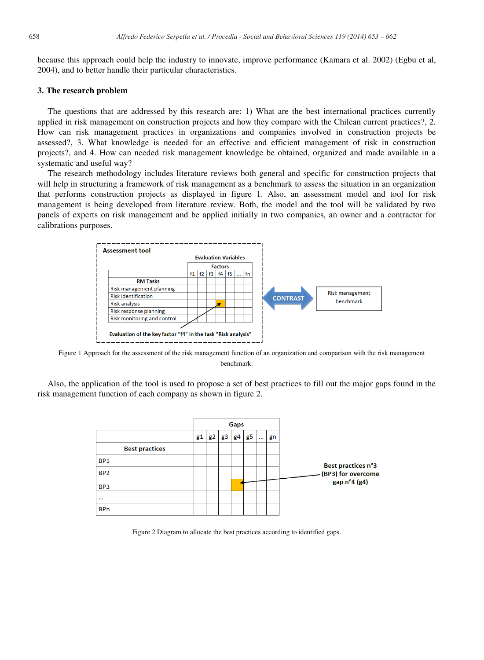because this approach could help the industry to innovate, improve performance (Kamara et al. 2002) (Egbu et al, 2004), and to better handle their particular characteristics.

#### **3. The research problem**

The questions that are addressed by this research are: 1) What are the best international practices currently applied in risk management on construction projects and how they compare with the Chilean current practices?, 2. How can risk management practices in organizations and companies involved in construction projects be assessed?, 3. What knowledge is needed for an effective and efficient management of risk in construction projects?, and 4. How can needed risk management knowledge be obtained, organized and made available in a systematic and useful way?

The research methodology includes literature reviews both general and specific for construction projects that will help in structuring a framework of risk management as a benchmark to assess the situation in an organization that performs construction projects as displayed in figure 1. Also, an assessment model and tool for risk management is being developed from literature review. Both, the model and the tool will be validated by two panels of experts on risk management and be applied initially in two companies, an owner and a contractor for calibrations purposes.



Figure 1 Approach for the assessment of the risk management function of an organization and comparison with the risk management benchmark.

Also, the application of the tool is used to propose a set of best practices to fill out the major gaps found in the risk management function of each company as shown in figure 2.

|                       |    | Gaps |    |    |    |           |    |                                    |
|-----------------------|----|------|----|----|----|-----------|----|------------------------------------|
|                       | g1 | g2   | g3 | g4 | g5 | $\ddotsc$ | gn |                                    |
| <b>Best practices</b> |    |      |    |    |    |           |    |                                    |
| BP <sub>1</sub>       |    |      |    |    |    |           |    | <b>Best practices n°3</b>          |
| BP <sub>2</sub>       |    |      |    |    |    |           |    | (BP3) for overcome<br>gap n°4 (g4) |
| BP <sub>3</sub>       |    |      |    |    |    |           |    |                                    |
| $\cdots$              |    |      |    |    |    |           |    |                                    |
| <b>BPn</b>            |    |      |    |    |    |           |    |                                    |

Figure 2 Diagram to allocate the best practices according to identified gaps.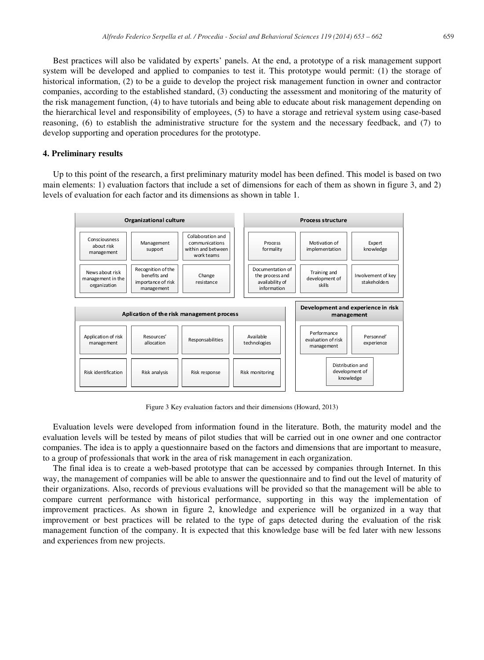Best practices will also be validated by experts' panels. At the end, a prototype of a risk management support system will be developed and applied to companies to test it. This prototype would permit: (1) the storage of historical information, (2) to be a guide to develop the project risk management function in owner and contractor companies, according to the established standard, (3) conducting the assessment and monitoring of the maturity of the risk management function, (4) to have tutorials and being able to educate about risk management depending on the hierarchical level and responsibility of employees, (5) to have a storage and retrieval system using case-based reasoning, (6) to establish the administrative structure for the system and the necessary feedback, and (7) to develop supporting and operation procedures for the prototype.

# **4. Preliminary results**

Up to this point of the research, a first preliminary maturity model has been defined. This model is based on two main elements: 1) evaluation factors that include a set of dimensions for each of them as shown in figure 3, and 2) levels of evaluation for each factor and its dimensions as shown in table 1.



Figure 3 Key evaluation factors and their dimensions (Howard, 2013)

Evaluation levels were developed from information found in the literature. Both, the maturity model and the evaluation levels will be tested by means of pilot studies that will be carried out in one owner and one contractor companies. The idea is to apply a questionnaire based on the factors and dimensions that are important to measure, to a group of professionals that work in the area of risk management in each organization.

The final idea is to create a web-based prototype that can be accessed by companies through Internet. In this way, the management of companies will be able to answer the questionnaire and to find out the level of maturity of their organizations. Also, records of previous evaluations will be provided so that the management will be able to compare current performance with historical performance, supporting in this way the implementation of improvement practices. As shown in figure 2, knowledge and experience will be organized in a way that improvement or best practices will be related to the type of gaps detected during the evaluation of the risk management function of the company. It is expected that this knowledge base will be fed later with new lessons and experiences from new projects.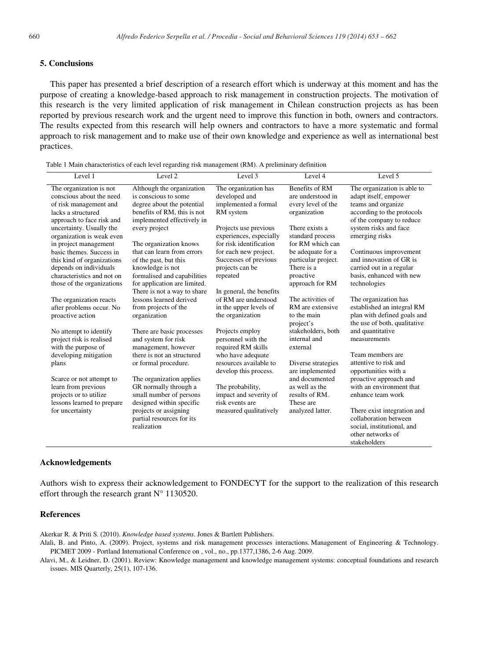# **5. Conclusions**

This paper has presented a brief description of a research effort which is underway at this moment and has the purpose of creating a knowledge-based approach to risk management in construction projects. The motivation of this research is the very limited application of risk management in Chilean construction projects as has been reported by previous research work and the urgent need to improve this function in both, owners and contractors. The results expected from this research will help owners and contractors to have a more systematic and formal approach to risk management and to make use of their own knowledge and experience as well as international best practices.

| Table 1 Main characteristics of each level regarding risk management (RM). A preliminary definition |  |  |
|-----------------------------------------------------------------------------------------------------|--|--|
|-----------------------------------------------------------------------------------------------------|--|--|

| Level 1                                                                                                                                      | Level 2                                                                                                                                      | Level 3                                                                                        | Level 4                                                                                | Level 5                                                                                                                              |
|----------------------------------------------------------------------------------------------------------------------------------------------|----------------------------------------------------------------------------------------------------------------------------------------------|------------------------------------------------------------------------------------------------|----------------------------------------------------------------------------------------|--------------------------------------------------------------------------------------------------------------------------------------|
| The organization is not<br>conscious about the need<br>of risk management and<br>lacks a structured<br>approach to face risk and             | Although the organization<br>is conscious to some<br>degree about the potential<br>benefits of RM, this is not<br>implemented effectively in | The organization has<br>developed and<br>implemented a formal<br>RM system                     | <b>Benefits of RM</b><br>are understood in<br>every level of the<br>organization       | The organization is able to<br>adapt itself, empower<br>teams and organize<br>according to the protocols<br>of the company to reduce |
| uncertainty. Usually the<br>organization is weak even<br>in project management                                                               | every project<br>The organization knows                                                                                                      | Projects use previous<br>experiences, especially<br>for risk identification                    | There exists a<br>standard process<br>for RM which can                                 | system risks and face<br>emerging risks                                                                                              |
| basic themes. Success in<br>this kind of organizations<br>depends on individuals<br>characteristics and not on<br>those of the organizations | that can learn from errors<br>of the past, but this<br>knowledge is not<br>formalised and capabilities<br>for application are limited.       | for each new project.<br>Successes of previous<br>projects can be<br>repeated                  | be adequate for a<br>particular project.<br>There is a<br>proactive<br>approach for RM | Continuous improvement<br>and innovation of GR is<br>carried out in a regular<br>basis, enhanced with new<br>technologies            |
| The organization reacts<br>after problems occur. No<br>proactive action                                                                      | There is not a way to share<br>lessons learned derived<br>from projects of the<br>organization                                               | In general, the benefits<br>of RM are understood<br>in the upper levels of<br>the organization | The activities of<br>RM are extensive<br>to the main<br>project's                      | The organization has<br>established an integral RM<br>plan with defined goals and<br>the use of both, qualitative                    |
| No attempt to identify<br>project risk is realised<br>with the purpose of                                                                    | There are basic processes<br>and system for risk<br>management, however                                                                      | Projects employ<br>personnel with the<br>required RM skills                                    | stakeholders, both<br>internal and<br>external                                         | and quantitative<br>measurements                                                                                                     |
| developing mitigation<br>plans                                                                                                               | there is not an structured<br>or formal procedure.                                                                                           | who have adequate<br>resources available to<br>develop this process.                           | Diverse strategies<br>are implemented                                                  | Team members are<br>attentive to risk and<br>opportunities with a                                                                    |
| Scarce or not attempt to<br>learn from previous<br>projects or to utilize<br>lessons learned to prepare                                      | The organization applies<br>GR normally through a<br>small number of persons<br>designed within specific                                     | The probability,<br>impact and severity of<br>risk events are                                  | and documented<br>as well as the<br>results of RM.<br>These are                        | proactive approach and<br>with an environment that<br>enhance team work                                                              |
| for uncertainty                                                                                                                              | projects or assigning<br>partial resources for its<br>realization                                                                            | measured qualitatively                                                                         | analyzed latter.                                                                       | There exist integration and<br>collaboration between<br>social, institutional, and<br>other networks of<br>stakeholders              |

#### **Acknowledgements**

Authors wish to express their acknowledgement to FONDECYT for the support to the realization of this research effort through the research grant N° 1130520.

#### **References**

Akerkar R. & Priti S. (2010). *Knowledge based systems*. Jones & Bartlett Publishers.

Alali, B. and Pinto, A. (2009). Project, systems and risk management processes interactions. Management of Engineering & Technology. PICMET 2009 - Portland International Conference on , vol., no., pp.1377,1386, 2-6 Aug. 2009.

Alavi, M., & Leidner, D. (2001). Review: Knowledge management and knowledge management systems: conceptual foundations and research issues. MIS Quarterly, 25(1), 107-136.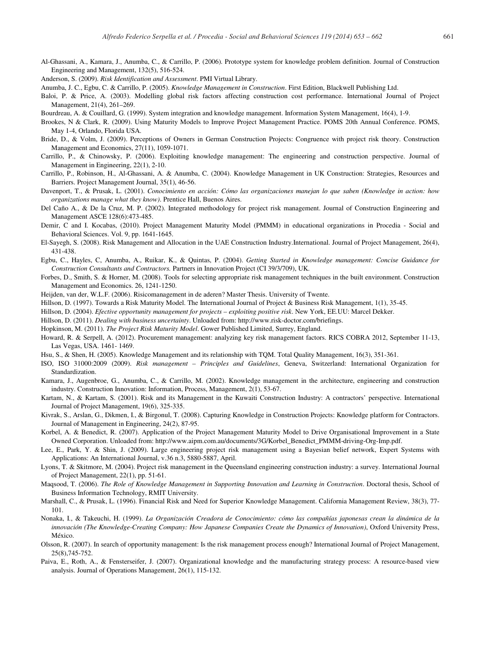- Al-Ghassani, A., Kamara, J., Anumba, C., & Carrillo, P. (2006). Prototype system for knowledge problem definition. Journal of Construction Engineering and Management, 132(5), 516-524.
- Anderson, S. (2009). *Risk Identification and Assessment*. PMI Virtual Library.
- Anumba, J. C., Egbu, C. & Carrillo, P. (2005). *Knowledge Management in Construction*. First Edition, Blackwell Publishing Ltd.
- Baloi, P. & Price, A. (2003). Modelling global risk factors affecting construction cost performance. International Journal of Project Management, 21(4), 261–269.
- Bourdreau, A. & Couillard, G. (1999). System integration and knowledge management. Information System Management, 16(4), 1-9.
- Brookes, N & Clark, R. (2009). Using Maturity Models to Improve Project Management Practice. POMS 20th Annual Conference. POMS, May 1-4, Orlando, Florida USA.
- Bride, D., & Volm, J. (2009). Perceptions of Owners in German Construction Projects: Congruence with project risk theory. Construction Management and Economics, 27(11), 1059-1071.
- Carrillo, P., & Chinowsky, P. (2006). Exploiting knowledge management: The engineering and construction perspective. Journal of Management in Engineering, 22(1), 2-10.
- Carrillo, P., Robinson, H., Al-Ghassani, A. & Anumba, C. (2004). Knowledge Management in UK Construction: Strategies, Resources and Barriers. Project Management Journal, 35(1), 46-56.
- Davenport, T., & Prusak, L. (2001). *Conocimiento en acción: Cómo las organizaciones manejan lo que saben (Knowledge in action: how organizations manage what they know)*. Prentice Hall, Buenos Aires.
- Del Caño A., & De la Cruz, M. P. (2002). Integrated methodology for project risk management. Journal of Construction Engineering and Management ASCE 128(6):473-485.
- Demir, C and I. Kocabas, (2010). Project Management Maturity Model (PMMM) in educational organizations in Procedia Social and Behavioral Sciences. Vol. 9, pp. 1641-1645.
- El-Sayegh, S. (2008). Risk Management and Allocation in the UAE Construction Industry.International. Journal of Project Management, 26(4), 431-438.
- Egbu, C., Hayles, C, Anumba, A., Ruikar, K., & Quintas, P. (2004). *Getting Started in Knowledge management: Concise Guidance for Construction Consultants and Contractors.* Partners in Innovation Project (CI 39/3/709), UK.
- Forbes, D., Smith, S. & Horner, M. (2008). Tools for selecting appropriate risk management techniques in the built environment. Construction Management and Economics. 26, 1241-1250.
- Heijden, van der, W.L.F. (2006). Risicomanagement in de aderen? Master Thesis. University of Twente.
- Hillson, D. (1997). Towards a Risk Maturity Model. The International Journal of Project & Business Risk Management, 1(1), 35-45.
- Hillson, D. (2004). *Efective opportunity management for projects exploiting positive risk*. New York, EE.UU: Marcel Dekker.
- Hillson, D. (2011). *Dealing with business uncertainty*. Unloaded from: http://www.risk-doctor.com/briefings.
- Hopkinson, M. (2011). *The Project Risk Maturity Model*. Gower Published Limited, Surrey, England.
- Howard, R. & Serpell, A. (2012). Procurement management: analyzing key risk management factors. RICS COBRA 2012, September 11-13, Las Vegas, USA. 1461- 1469.
- Hsu, S., & Shen, H. (2005). Knowledge Management and its relationship with TQM. Total Quality Management, 16(3), 351-361.
- ISO, ISO 31000:2009 (2009). *Risk management Principles and Guidelines*, Geneva, Switzerland: International Organization for Standardization.
- Kamara, J., Augenbroe, G., Anumba, C., & Carrillo, M. (2002). Knowledge management in the architecture, engineering and construction industry. Construction Innovation: Information, Process, Management, 2(1), 53-67.
- Kartam, N., & Kartam, S. (2001). Risk and its Management in the Kuwaiti Construction Industry: A contractors' perspective. International Journal of Project Management, 19(6), 325-335.
- Kivrak, S., Arslan, G., Dikmen, I., & Birgonul, T. (2008). Capturing Knowledge in Construction Projects: Knowledge platform for Contractors. Journal of Management in Engineering, 24(2), 87-95.
- Korbel, A. & Benedict, R. (2007). Application of the Project Management Maturity Model to Drive Organisational Improvement in a State Owned Corporation. Unloaded from: http://www.aipm.com.au/documents/3G/Korbel\_Benedict\_PMMM-driving-Org-Imp.pdf.
- Lee, E., Park, Y. & Shin, J. (2009). Large engineering project risk management using a Bayesian belief network, Expert Systems with Applications: An International Journal, v.36 n.3, 5880-5887, April.
- Lyons, T. & Skitmore, M. (2004). Project risk management in the Queensland engineering construction industry: a survey. International Journal of Project Management, 22(1), pp. 51-61.
- Maqsood, T. (2006). *The Role of Knowledge Management in Supporting Innovation and Learning in Construction*. Doctoral thesis, School of Business Information Technology, RMIT University.
- Marshall, C., & Prusak, L. (1996). Financial Risk and Need for Superior Knowledge Management. California Management Review, 38(3), 77- 101.
- Nonaka, I., & Takeuchi, H. (1999). *La Organización Creadora de Conocimiento: cómo las compañías japonesas crean la dinámica de la innovación (The Knowledge-Creating Company: How Japanese Companies Create the Dynamics of Innovation)*, Oxford University Press, México.
- Olsson, R. (2007). In search of opportunity management: Is the risk management process enough? International Journal of Project Management, 25(8),745-752.
- Paiva, E., Roth, A., & Fensterseifer, J. (2007). Organizational knowledge and the manufacturing strategy process: A resource-based view analysis. Journal of Operations Management, 26(1), 115-132.